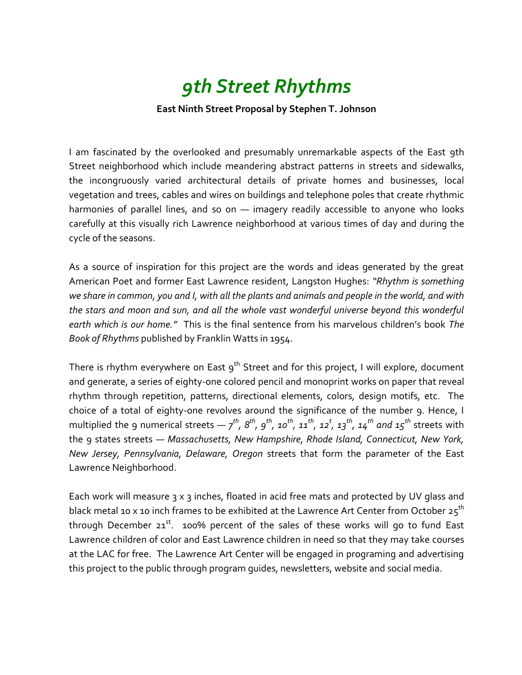## *9th Street Rhythms*

## **East Ninth Street Proposal by Stephen T. Johnson**

I am fascinated by the overlooked and presumably unremarkable aspects of the East 9th Street neighborhood which include meandering abstract patterns in streets and sidewalks, the incongruously varied architectural details of private homes and businesses, local vegetation and trees, cables and wires on buildings and telephone poles that create rhythmic harmonies of parallel lines, and so on — imagery readily accessible to anyone who looks carefully at this visually rich Lawrence neighborhood at various times of day and during the cycle of the seasons.

As a source of inspiration for this project are the words and ideas generated by the great American Poet and former East Lawrence resident, Langston Hughes: *"Rhythm is something we share in common, you and I, with all the plants and animals and people in the world, and with the stars and moon and sun, and all the whole vast wonderful universe beyond this wonderful earth which is our home."* This is the final sentence from his marvelous children's book *The Book of Rhythms* published by Franklin Watts in 1954.

There is rhythm everywhere on East  $9^{th}$  Street and for this project, I will explore, document and generate, a series of eighty-one colored pencil and monoprint works on paper that reveal rhythm through repetition, patterns, directional elements, colors, design motifs, etc. The choice of a total of eighty-one revolves around the significance of the number 9. Hence, I multiplied the 9 numerical streets —  $7^{th}$ ,  $8^{th}$ ,  $9^{th}$ ,  $10^{th}$ ,  $11^{th}$ ,  $12^t$ ,  $13^{th}$ ,  $14^{th}$  and  $15^{th}$  streets with the 9 states streets — *Massachusetts, New Hampshire, Rhode Island, Connecticut, New York, New Jersey, Pennsylvania, Delaware, Oregon* streets that form the parameter of the East Lawrence Neighborhood.

Each work will measure 3 x 3 inches, floated in acid free mats and protected by UV glass and black metal 10 x 10 inch frames to be exhibited at the Lawrence Art Center from October 25<sup>th</sup> through December 21 $^{\rm st}$ . 100% percent of the sales of these works will go to fund East Lawrence children of color and East Lawrence children in need so that they may take courses at the LAC for free. The Lawrence Art Center will be engaged in programing and advertising this project to the public through program guides, newsletters, website and social media.